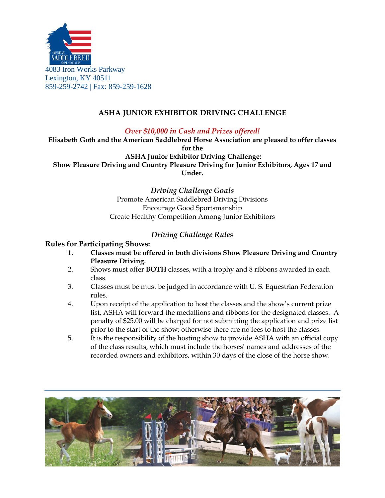

# **ASHA JUNIOR EXHIBITOR DRIVING CHALLENGE**

## *Over \$10,000 in Cash and Prizes offered!*

**Elisabeth Goth and the American Saddlebred Horse Association are pleased to offer classes for the ASHA Junior Exhibitor Driving Challenge: Show Pleasure Driving and Country Pleasure Driving for Junior Exhibitors, Ages 17 and Under.**

> *Driving Challenge Goals* Promote American Saddlebred Driving Divisions Encourage Good Sportsmanship Create Healthy Competition Among Junior Exhibitors

# *Driving Challenge Rules*

### **Rules for Participating Shows:**

- **1. Classes must be offered in both divisions Show Pleasure Driving and Country Pleasure Driving.**
- 2. Shows must offer **BOTH** classes, with a trophy and 8 ribbons awarded in each class.
- 3. Classes must be must be judged in accordance with U. S. Equestrian Federation rules.
- 4. Upon receipt of the application to host the classes and the show's current prize list, ASHA will forward the medallions and ribbons for the designated classes. A penalty of \$25.00 will be charged for not submitting the application and prize list prior to the start of the show; otherwise there are no fees to host the classes.
- 5. It is the responsibility of the hosting show to provide ASHA with an official copy of the class results, which must include the horses' names and addresses of the recorded owners and exhibitors, within 30 days of the close of the horse show.